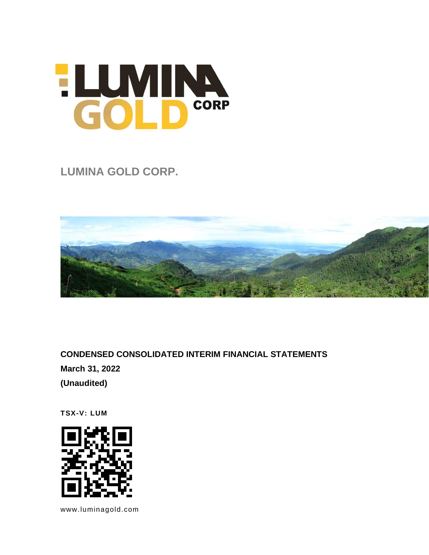# HUMINA

**LUMINA GOLD CORP.** 



**CONDENSED CONSOLIDATED INTERIM FINANCIAL STATEMENTS March 31, 2022 (Unaudited)**

**TSX-V: LUM**



[www.luminagold.com](http://www.luminagold.com/)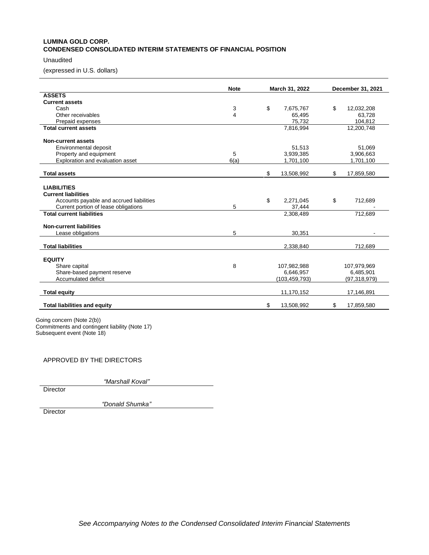# **LUMINA GOLD CORP. CONDENSED CONSOLIDATED INTERIM STATEMENTS OF FINANCIAL POSITION**

# Unaudited

(expressed in U.S. dollars)

|                                          | <b>Note</b><br>March 31, 2022 |                  | December 31, 2021 |
|------------------------------------------|-------------------------------|------------------|-------------------|
| <b>ASSETS</b>                            |                               |                  |                   |
| <b>Current assets</b>                    |                               |                  |                   |
| Cash                                     | 3                             | \$<br>7,675,767  | \$<br>12,032,208  |
| Other receivables                        | 4                             | 65,495           | 63,728            |
| Prepaid expenses                         |                               | 75,732           | 104,812           |
| <b>Total current assets</b>              |                               | 7,816,994        | 12,200,748        |
| <b>Non-current assets</b>                |                               |                  |                   |
| Environmental deposit                    |                               | 51,513           | 51,069            |
| Property and equipment                   | 5                             | 3,939,385        | 3,906,663         |
| Exploration and evaluation asset         | 6(a)                          | 1,701,100        | 1,701,100         |
| <b>Total assets</b>                      |                               | \$<br>13,508,992 | 17,859,580<br>\$  |
| <b>LIABILITIES</b>                       |                               |                  |                   |
| <b>Current liabilities</b>               |                               |                  |                   |
| Accounts payable and accrued liabilities |                               | \$<br>2,271,045  | \$<br>712,689     |
| Current portion of lease obligations     | 5                             | 37,444           |                   |
| <b>Total current liabilities</b>         |                               | 2,308,489        | 712.689           |
| <b>Non-current liabilities</b>           |                               |                  |                   |
| Lease obligations                        | 5                             | 30,351           |                   |
| <b>Total liabilities</b>                 |                               | 2,338,840        | 712,689           |
| <b>EQUITY</b>                            |                               |                  |                   |
| Share capital                            | 8                             | 107,982,988      | 107,979,969       |
| Share-based payment reserve              |                               | 6,646,957        | 6,485,901         |
| Accumulated deficit                      |                               | (103, 459, 793)  | (97, 318, 979)    |
| <b>Total equity</b>                      |                               | 11,170,152       | 17,146,891        |
| <b>Total liabilities and equity</b>      |                               | \$<br>13,508,992 | \$<br>17,859,580  |

Going concern (Note 2(b)) Commitments and contingent liability (Note 17) Subsequent event (Note 18)

# APPROVED BY THE DIRECTORS

*"Marshall Koval"*

**Director** 

*"Donald Shumka"*

**Director**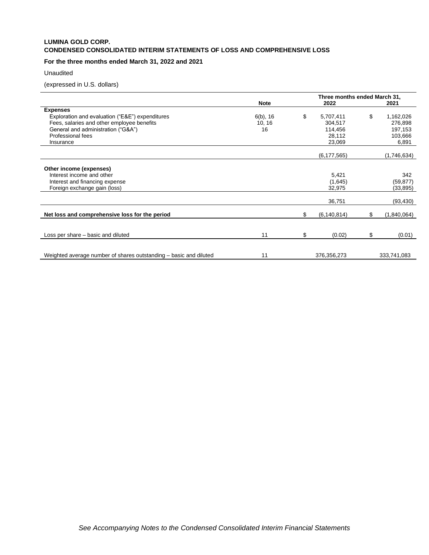# **LUMINA GOLD CORP. CONDENSED CONSOLIDATED INTERIM STATEMENTS OF LOSS AND COMPREHENSIVE LOSS**

# **For the three months ended March 31, 2022 and 2021**

## Unaudited

(expressed in U.S. dollars)

|                                                                   | <b>Note</b> | Three months ended March 31,<br>2022 |     | 2021        |
|-------------------------------------------------------------------|-------------|--------------------------------------|-----|-------------|
| <b>Expenses</b>                                                   |             |                                      |     |             |
| Exploration and evaluation ("E&E") expenditures                   | $6(b)$ , 16 | \$<br>5,707,411                      | \$  | 1,162,026   |
| Fees, salaries and other employee benefits                        | 10, 16      | 304,517                              |     | 276,898     |
| General and administration ("G&A")                                | 16          | 114,456                              |     | 197,153     |
| Professional fees                                                 |             | 28,112                               |     | 103,666     |
| Insurance                                                         |             | 23,069                               |     | 6,891       |
|                                                                   |             | (6, 177, 565)                        |     | (1,746,634) |
|                                                                   |             |                                      |     |             |
| Other income (expenses)                                           |             |                                      |     |             |
| Interest income and other                                         |             | 5,421                                |     | 342         |
| Interest and financing expense                                    |             | (1,645)                              |     | (59, 877)   |
| Foreign exchange gain (loss)                                      |             | 32,975                               |     | (33, 895)   |
|                                                                   |             | 36,751                               |     | (93, 430)   |
| Net loss and comprehensive loss for the period                    |             | \$<br>(6, 140, 814)                  | \$. | (1,840,064) |
|                                                                   |             |                                      |     |             |
|                                                                   |             |                                      |     |             |
| Loss per share – basic and diluted                                | 11          | \$<br>(0.02)                         | \$  | (0.01)      |
|                                                                   |             |                                      |     |             |
| Weighted average number of shares outstanding – basic and diluted | 11          | 376,356,273                          |     | 333,741,083 |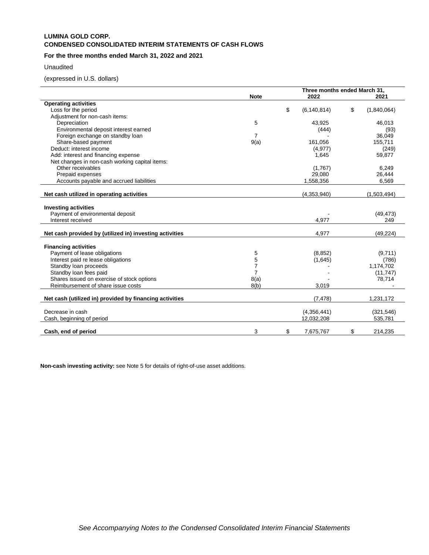# **LUMINA GOLD CORP. CONDENSED CONSOLIDATED INTERIM STATEMENTS OF CASH FLOWS**

# **For the three months ended March 31, 2022 and 2021**

# Unaudited

(expressed in U.S. dollars)

|                                                         |                | Three months ended March 31, |                   |
|---------------------------------------------------------|----------------|------------------------------|-------------------|
|                                                         | <b>Note</b>    | 2022                         | 2021              |
| <b>Operating activities</b>                             |                |                              |                   |
| Loss for the period                                     |                | \$<br>(6, 140, 814)          | \$<br>(1,840,064) |
| Adjustment for non-cash items:                          |                |                              |                   |
| Depreciation                                            | 5              | 43,925                       | 46,013            |
| Environmental deposit interest earned                   |                | (444)                        | (93)              |
| Foreign exchange on standby loan                        | 7              |                              | 36,049            |
| Share-based payment                                     | 9(a)           | 161,056                      | 155,711           |
| Deduct: interest income                                 |                | (4, 977)                     | (249)             |
| Add: interest and financing expense                     |                | 1,645                        | 59,877            |
| Net changes in non-cash working capital items:          |                |                              |                   |
| Other receivables                                       |                | (1,767)                      | 6,249             |
| Prepaid expenses                                        |                | 29,080                       | 26,444            |
| Accounts payable and accrued liabilities                |                | 1,558,356                    | 6,569             |
|                                                         |                |                              |                   |
| Net cash utilized in operating activities               |                | (4,353,940)                  | (1,503,494)       |
| <b>Investing activities</b>                             |                |                              |                   |
| Payment of environmental deposit                        |                |                              | (49, 473)         |
| Interest received                                       |                | 4,977                        | 249               |
|                                                         |                |                              |                   |
| Net cash provided by (utilized in) investing activities |                | 4,977                        | (49, 224)         |
| <b>Financing activities</b>                             |                |                              |                   |
| Payment of lease obligations                            | 5              | (8, 852)                     | (9,711)           |
| Interest paid re lease obligations                      | 5              | (1,645)                      | (786)             |
| Standby loan proceeds                                   | $\overline{7}$ |                              | 1,174,702         |
| Standby loan fees paid                                  | $\overline{7}$ |                              | (11, 747)         |
| Shares issued on exercise of stock options              | 8(a)           |                              | 78,714            |
| Reimbursement of share issue costs                      | 8(b)           | 3,019                        |                   |
|                                                         |                |                              |                   |
| Net cash (utilized in) provided by financing activities |                | (7, 478)                     | 1,231,172         |
|                                                         |                |                              |                   |
| Decrease in cash                                        |                | (4,356,441)                  | (321, 546)        |
| Cash, beginning of period                               |                | 12,032,208                   | 535,781           |
| Cash, end of period                                     | 3              | \$<br>7,675,767              | \$<br>214,235     |

**Non-cash investing activity:** see Note 5 for details of right-of-use asset additions.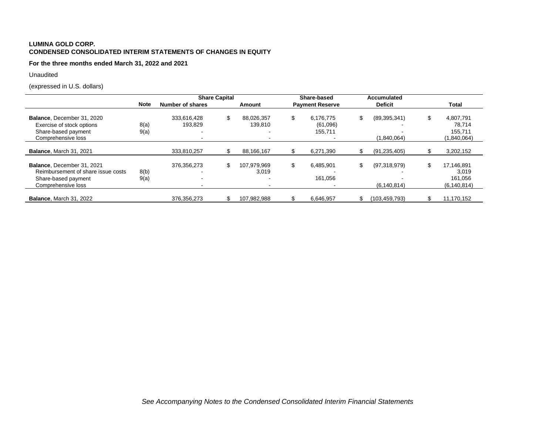# **LUMINA GOLD CORP. CONDENSED CONSOLIDATED INTERIM STATEMENTS OF CHANGES IN EQUITY**

**For the three months ended March 31, 2022 and 2021**

Unaudited

(expressed in U.S. dollars)

|                                                                                                               |              | <b>Share Capital</b>   |                             | Share-based                            | <b>Accumulated</b>                  |    |                                                 |
|---------------------------------------------------------------------------------------------------------------|--------------|------------------------|-----------------------------|----------------------------------------|-------------------------------------|----|-------------------------------------------------|
|                                                                                                               | <b>Note</b>  | Number of shares       | Amount                      | <b>Payment Reserve</b>                 | <b>Deficit</b>                      |    | Total                                           |
| Balance, December 31, 2020<br>Exercise of stock options<br>Share-based payment<br>Comprehensive loss          | 8(a)<br>9(a) | 333,616,428<br>193,829 | \$<br>88,026,357<br>139.810 | \$<br>6.176.775<br>(61,096)<br>155.711 | \$<br>(89, 395, 341)<br>(1,840,064) | S  | 4,807,791<br>78,714<br>155,711<br>(1,840,064)   |
| <b>Balance, March 31, 2021</b>                                                                                |              | 333,810,257            | 88,166,167                  | 6,271,390                              | (91, 235, 405)                      |    | 3,202,152                                       |
| Balance, December 31, 2021<br>Reimbursement of share issue costs<br>Share-based payment<br>Comprehensive loss | 8(b)<br>9(a) | 376, 356, 273          | \$<br>107.979.969<br>3.019  | \$<br>6,485,901<br>161.056             | \$<br>(97,318,979)<br>(6, 140, 814) | \$ | 17,146,891<br>3,019<br>161.056<br>(6, 140, 814) |
| <b>Balance, March 31, 2022</b>                                                                                |              | 376, 356, 273          | 107.982.988                 | 6,646,957                              | (103, 459, 793)                     |    | 11,170,152                                      |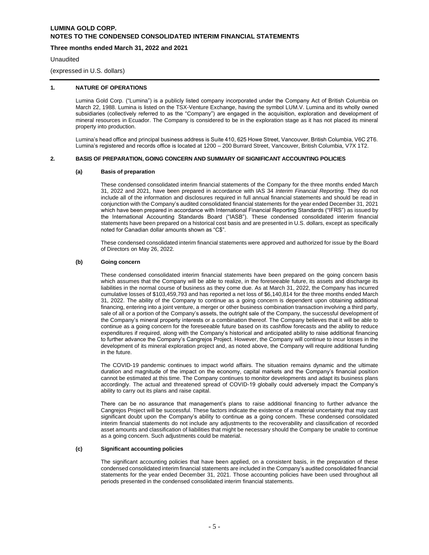## **Three months ended March 31, 2022 and 2021**

**Unaudited** 

(expressed in U.S. dollars)

# **1. NATURE OF OPERATIONS**

Lumina Gold Corp. ("Lumina") is a publicly listed company incorporated under the Company Act of British Columbia on March 22, 1988. Lumina is listed on the TSX-Venture Exchange, having the symbol LUM.V. Lumina and its wholly owned subsidiaries (collectively referred to as the "Company") are engaged in the acquisition, exploration and development of mineral resources in Ecuador. The Company is considered to be in the exploration stage as it has not placed its mineral property into production.

Lumina's head office and principal business address is Suite 410, 625 Howe Street, Vancouver, British Columbia, V6C 2T6. Lumina's registered and records office is located at 1200 – 200 Burrard Street, Vancouver, British Columbia, V7X 1T2.

#### **2. BASIS OF PREPARATION, GOING CONCERN AND SUMMARY OF SIGNIFICANT ACCOUNTING POLICIES**

#### **(a) Basis of preparation**

These condensed consolidated interim financial statements of the Company for the three months ended March 31, 2022 and 2021, have been prepared in accordance with IAS 34 *Interim Financial Reporting.* They do not include all of the information and disclosures required in full annual financial statements and should be read in conjunction with the Company's audited consolidated financial statements for the year ended December 31, 2021 which have been prepared in accordance with International Financial Reporting Standards ("IFRS") as issued by the International Accounting Standards Board ("IASB"). These condensed consolidated interim financial statements have been prepared on a historical cost basis and are presented in U.S. dollars, except as specifically noted for Canadian dollar amounts shown as "C\$".

These condensed consolidated interim financial statements were approved and authorized for issue by the Board of Directors on May 26, 2022.

#### **(b) Going concern**

These condensed consolidated interim financial statements have been prepared on the going concern basis which assumes that the Company will be able to realize, in the foreseeable future, its assets and discharge its liabilities in the normal course of business as they come due. As at March 31, 2022, the Company has incurred cumulative losses of \$103,459,793 and has reported a net loss of \$6,140,814 for the three months ended March 31, 2022. The ability of the Company to continue as a going concern is dependent upon obtaining additional financing, entering into a joint venture, a merger or other business combination transaction involving a third party, sale of all or a portion of the Company's assets, the outright sale of the Company, the successful development of the Company's mineral property interests or a combination thereof. The Company believes that it will be able to continue as a going concern for the foreseeable future based on its cashflow forecasts and the ability to reduce expenditures if required, along with the Company's historical and anticipated ability to raise additional financing to further advance the Company's Cangrejos Project. However, the Company will continue to incur losses in the development of its mineral exploration project and, as noted above, the Company will require additional funding in the future.

The COVID-19 pandemic continues to impact world affairs. The situation remains dynamic and the ultimate duration and magnitude of the impact on the economy, capital markets and the Company's financial position cannot be estimated at this time. The Company continues to monitor developments and adapt its business plans accordingly. The actual and threatened spread of COVID-19 globally could adversely impact the Company's ability to carry out its plans and raise capital.

There can be no assurance that management's plans to raise additional financing to further advance the Cangrejos Project will be successful. These factors indicate the existence of a material uncertainty that may cast significant doubt upon the Company's ability to continue as a going concern. These condensed consolidated interim financial statements do not include any adjustments to the recoverability and classification of recorded asset amounts and classification of liabilities that might be necessary should the Company be unable to continue as a going concern. Such adjustments could be material.

#### **(c) Significant accounting policies**

The significant accounting policies that have been applied, on a consistent basis, in the preparation of these condensed consolidated interim financial statements are included in the Company's audited consolidated financial statements for the year ended December 31, 2021. Those accounting policies have been used throughout all periods presented in the condensed consolidated interim financial statements.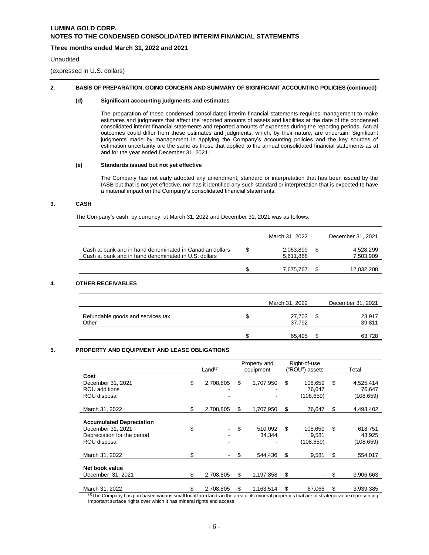# **Three months ended March 31, 2022 and 2021**

#### Unaudited

(expressed in U.S. dollars)

#### **2. BASIS OF PREPARATION, GOING CONCERN AND SUMMARY OF SIGNIFICANT ACCOUNTING POLICIES (continued)**

#### **(d) Significant accounting judgments and estimates**

The preparation of these condensed consolidated interim financial statements requires management to make estimates and judgments that affect the reported amounts of assets and liabilities at the date of the condensed consolidated interim financial statements and reported amounts of expenses during the reporting periods. Actual outcomes could differ from these estimates and judgments, which, by their nature, are uncertain. Significant judgments made by management in applying the Company's accounting policies and the key sources of estimation uncertainty are the same as those that applied to the annual consolidated financial statements as at and for the year ended December 31, 2021.

## **(e) Standards issued but not yet effective**

The Company has not early adopted any amendment, standard or interpretation that has been issued by the IASB but that is not yet effective, nor has it identified any such standard or interpretation that is expected to have a material impact on the Company's consolidated financial statements.

## **3. CASH**

The Company's cash, by currency, at March 31, 2022 and December 31, 2021 was as follows:

|                                                                                                                  | March 31, 2022         | December 31, 2021      |
|------------------------------------------------------------------------------------------------------------------|------------------------|------------------------|
| Cash at bank and in hand denominated in Canadian dollars<br>Cash at bank and in hand denominated in U.S. dollars | 2.063.899<br>5,611,868 | 4.528.299<br>7,503,909 |
|                                                                                                                  | 7,675,767              | 12.032.208             |

# **4. OTHER RECEIVABLES**

|                                            |   | March 31, 2022   |    | December 31, 2021 |
|--------------------------------------------|---|------------------|----|-------------------|
| Refundable goods and services tax<br>Other | S | 27,703<br>37.792 | S  | 23,917<br>39,811  |
|                                            |   | 65.495           | ۰D | 63,728            |

# **5. PROPERTY AND EQUIPMENT AND LEASE OBLIGATIONS**

|                                                                                                     | Land <sup>(1)</sup> |           | Property and<br>equipment |    | Right-of-use<br>("ROU") assets |    | Total                            |
|-----------------------------------------------------------------------------------------------------|---------------------|-----------|---------------------------|----|--------------------------------|----|----------------------------------|
| Cost<br>December 31, 2021<br><b>ROU</b> additions<br>ROU disposal                                   | \$                  | 2,708,805 | \$<br>1,707,950           | \$ | 108.659<br>76,647<br>(108,659) | \$ | 4,525,414<br>76,647<br>(108,659) |
| March 31, 2022                                                                                      | \$.                 | 2,708,805 | \$<br>1,707,950           | S  | 76,647                         | S  | 4,493,402                        |
| <b>Accumulated Depreciation</b><br>December 31, 2021<br>Depreciation for the period<br>ROU disposal | \$                  |           | \$<br>510.092<br>34,344   | \$ | 108,659<br>9,581<br>(108,659)  | \$ | 618,751<br>43,925<br>(108, 659)  |
| March 31, 2022                                                                                      | \$                  |           | \$<br>544,436             | \$ | 9,581                          | \$ | 554,017                          |
| Net book value<br>December 31, 2021                                                                 | \$                  | 2,708,805 | \$<br>1,197,858           | \$ |                                | \$ | 3,906,663                        |
| March 31, 2022                                                                                      | \$                  | 2,708,805 | \$<br>1,163,514           | \$ | 67,066                         | S  | 3,939,385                        |

<sup>(1)</sup>The Company has purchased various small local farm lands in the area of its mineral properties that are of strategic value representing important surface rights over which it has mineral rights and access.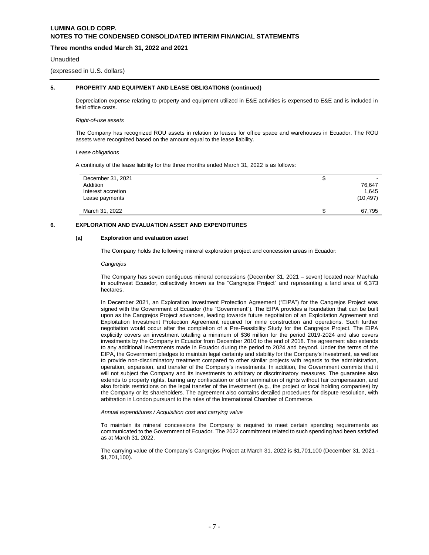# **Three months ended March 31, 2022 and 2021**

#### **Unaudited**

(expressed in U.S. dollars)

# **5. PROPERTY AND EQUIPMENT AND LEASE OBLIGATIONS (continued)**

Depreciation expense relating to property and equipment utilized in E&E activities is expensed to E&E and is included in field office costs.

#### *Right-of-use assets*

The Company has recognized ROU assets in relation to leases for office space and warehouses in Ecuador. The ROU assets were recognized based on the amount equal to the lease liability.

*Lease obligations*

A continuity of the lease liability for the three months ended March 31, 2022 is as follows:

| December 31, 2021  | จ | $\overline{\phantom{0}}$ |
|--------------------|---|--------------------------|
| Addition           |   | 76.647                   |
| Interest accretion |   | 1.645                    |
| Lease payments     |   | (10, 497)                |
|                    |   |                          |
| March 31, 2022     | S | 67,795                   |

# **6. EXPLORATION AND EVALUATION ASSET AND EXPENDITURES**

#### **(a) Exploration and evaluation asset**

The Company holds the following mineral exploration project and concession areas in Ecuador:

#### *Cangrejos*

The Company has seven contiguous mineral concessions (December 31, 2021 – seven) located near Machala in southwest Ecuador, collectively known as the "Cangrejos Project" and representing a land area of 6,373 hectares.

In December 2021, an Exploration Investment Protection Agreement ("EIPA") for the Cangrejos Project was signed with the Government of Ecuador (the "Government"). The EIPA provides a foundation that can be built upon as the Cangrejos Project advances, leading towards future negotiation of an Exploitation Agreement and Exploitation Investment Protection Agreement required for mine construction and operations. Such further negotiation would occur after the completion of a Pre-Feasibility Study for the Cangrejos Project. The EIPA explicitly covers an investment totalling a minimum of \$36 million for the period 2019-2024 and also covers investments by the Company in Ecuador from December 2010 to the end of 2018. The agreement also extends to any additional investments made in Ecuador during the period to 2024 and beyond. Under the terms of the EIPA, the Government pledges to maintain legal certainty and stability for the Company's investment, as well as to provide non-discriminatory treatment compared to other similar projects with regards to the administration, operation, expansion, and transfer of the Company's investments. In addition, the Government commits that it will not subject the Company and its investments to arbitrary or discriminatory measures. The guarantee also extends to property rights, barring any confiscation or other termination of rights without fair compensation, and also forbids restrictions on the legal transfer of the investment (e.g., the project or local holding companies) by the Company or its shareholders. The agreement also contains detailed procedures for dispute resolution, with arbitration in London pursuant to the rules of the International Chamber of Commerce.

#### *Annual expenditures / Acquisition cost and carrying value*

To maintain its mineral concessions the Company is required to meet certain spending requirements as communicated to the Government of Ecuador. The 2022 commitment related to such spending had been satisfied as at March 31, 2022.

The carrying value of the Company's Cangrejos Project at March 31, 2022 is \$1,701,100 (December 31, 2021 - \$1,701,100).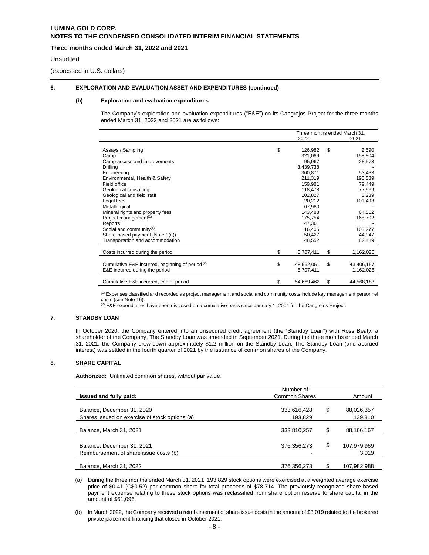# **Three months ended March 31, 2022 and 2021**

#### Unaudited

(expressed in U.S. dollars)

## **6. EXPLORATION AND EVALUATION ASSET AND EXPENDITURES (continued)**

#### **(b) Exploration and evaluation expenditures**

The Company's exploration and evaluation expenditures ("E&E") on its Cangrejos Project for the three months ended March 31, 2022 and 2021 are as follows:

|                                                             |                  | Three months ended March 31, |
|-------------------------------------------------------------|------------------|------------------------------|
|                                                             | 2022             | 2021                         |
|                                                             |                  |                              |
| Assays / Sampling                                           | \$<br>126,982    | \$<br>2,590                  |
| Camp                                                        | 321,069          | 158,804                      |
| Camp access and improvements                                | 95,967           | 28,573                       |
| Drilling                                                    | 3,439,738        |                              |
| Engineering                                                 | 360,871          | 53,433                       |
| Environmental, Health & Safety                              | 211,319          | 190,539                      |
| Field office                                                | 159,981          | 79,449                       |
| Geological consulting                                       | 118,478          | 77,999                       |
| Geological and field staff                                  | 102,827          | 5,239                        |
| Legal fees                                                  | 20,212           | 101,493                      |
| Metallurgical                                               | 67,980           |                              |
| Mineral rights and property fees                            | 143,488          | 64,562                       |
| Project management <sup>(1)</sup>                           | 175,754          | 168,702                      |
| Reports                                                     | 47,361           |                              |
| Social and community $(1)$                                  | 116,405          | 103,277                      |
| Share-based payment (Note 9(a))                             | 50,427           | 44,947                       |
| Transportation and accommodation                            | 148,552          | 82,419                       |
|                                                             |                  |                              |
| Costs incurred during the period                            | \$<br>5,707,411  | \$<br>1,162,026              |
|                                                             |                  |                              |
| Cumulative E&E incurred, beginning of period <sup>(2)</sup> | \$<br>48,962,051 | \$<br>43,406,157             |
| E&E incurred during the period                              | 5,707,411        | 1,162,026                    |
|                                                             |                  |                              |
| Cumulative E&E incurred, end of period                      | \$<br>54,669,462 | \$<br>44,568,183             |

(1) Expenses classified and recorded as project management and social and community costs include key management personnel

costs (see Note 16).<br><sup>(2)</sup> E&E expenditures have been disclosed on a cumulative basis since January 1, 2004 for the Cangrejos Project.

# **7. STANDBY LOAN**

In October 2020, the Company entered into an unsecured credit agreement (the "Standby Loan") with Ross Beaty, a shareholder of the Company. The Standby Loan was amended in September 2021. During the three months ended March 31, 2021, the Company drew-down approximately \$1.2 million on the Standby Loan. The Standby Loan (and accrued interest) was settled in the fourth quarter of 2021 by the issuance of common shares of the Company.

# **8. SHARE CAPITAL**

**Authorized:** Unlimited common shares, without par value.

| Issued and fully paid:                                                       | Number of<br><b>Common Shares</b> |    | Amount                |
|------------------------------------------------------------------------------|-----------------------------------|----|-----------------------|
| Balance, December 31, 2020<br>Shares issued on exercise of stock options (a) | 333,616,428<br>193,829            | \$ | 88,026,357<br>139,810 |
| Balance, March 31, 2021                                                      | 333,810,257                       | S  | 88,166,167            |
| Balance, December 31, 2021<br>Reimbursement of share issue costs (b)         | 376,356,273                       | \$ | 107,979,969<br>3,019  |
| Balance, March 31, 2022                                                      | 376,356,273                       |    | 107,982,988           |

(a) During the three months ended March 31, 2021, 193,829 stock options were exercised at a weighted average exercise price of \$0.41 (C\$0.52) per common share for total proceeds of \$78,714. The previously recognized share-based payment expense relating to these stock options was reclassified from share option reserve to share capital in the amount of \$61,096.

(b) In March 2022, the Company received a reimbursement of share issue costs in the amount of \$3,019 related to the brokered private placement financing that closed in October 2021.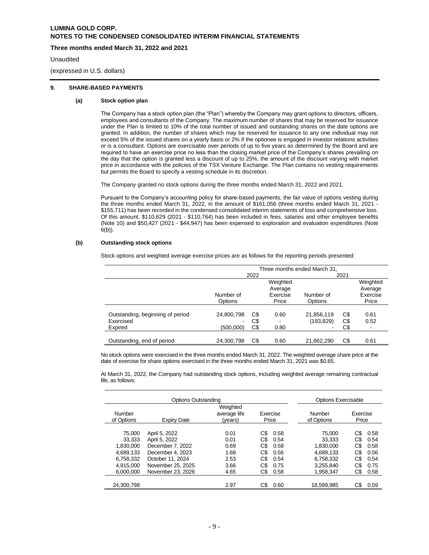# **Three months ended March 31, 2022 and 2021**

#### Unaudited

(expressed in U.S. dollars)

#### **9. SHARE-BASED PAYMENTS**

#### **(a) Stock option plan**

The Company has a stock option plan (the "Plan") whereby the Company may grant options to directors, officers, employees and consultants of the Company. The maximum number of shares that may be reserved for issuance under the Plan is limited to 10% of the total number of issued and outstanding shares on the date options are granted. In addition, the number of shares which may be reserved for issuance to any one individual may not exceed 5% of the issued shares on a yearly basis or 2% if the optionee is engaged in investor relations activities or is a consultant. Options are exercisable over periods of up to five years as determined by the Board and are required to have an exercise price no less than the closing market price of the Company's shares prevailing on the day that the option is granted less a discount of up to 25%, the amount of the discount varying with market price in accordance with the policies of the TSX Venture Exchange. The Plan contains no vesting requirements but permits the Board to specify a vesting schedule in its discretion.

The Company granted no stock options during the three months ended March 31, 2022 and 2021.

Pursuant to the Company's accounting policy for share-based payments, the fair value of options vesting during the three months ended March 31, 2022, in the amount of \$161,056 (three months ended March 31, 2021 - \$155,711) has been recorded in the condensed consolidated interim statements of loss and comprehensive loss. Of this amount, \$110,629 (2021 - \$110,764) has been included in fees, salaries and other employee benefits (Note 10) and \$50,427 (2021 - \$44,947) has been expensed to exploration and evaluation expenditures (Note 6(b)).

## **(b) Outstanding stock options**

Stock options and weighted average exercise prices are as follows for the reporting periods presented:

|                                  | Three months ended March 31, |              |          |            |     |                          |  |  |
|----------------------------------|------------------------------|--------------|----------|------------|-----|--------------------------|--|--|
|                                  |                              | 2022<br>2021 |          |            |     |                          |  |  |
|                                  |                              |              | Weighted |            |     | Weighted                 |  |  |
|                                  |                              |              | Average  |            |     | Average                  |  |  |
|                                  | Number of                    |              | Exercise | Number of  |     | Exercise                 |  |  |
|                                  | Options                      |              | Price    | Options    |     | Price                    |  |  |
|                                  |                              |              |          |            |     |                          |  |  |
| Outstanding, beginning of period | 24,800,798                   | C\$          | 0.60     | 21,856,119 | C\$ | 0.61                     |  |  |
| Exercised                        |                              | C\$          |          | (193, 829) | C\$ | 0.52                     |  |  |
| Expired                          | (500,000)                    | C\$          | 0.80     |            | C\$ | $\overline{\phantom{a}}$ |  |  |
|                                  |                              |              |          |            |     |                          |  |  |
| Outstanding, end of period       | 24,300,798                   | C\$          | 0.60     | 21,662,290 | C\$ | 0.61                     |  |  |

No stock options were exercised in the three months ended March 31, 2022. The weighted average share price at the date of exercise for share options exercised in the three months ended March 31, 2021 was \$0.65.

At March 31, 2022, the Company had outstanding stock options, including weighted average remaining contractual life, as follows:

| Options Outstanding                                     |                                                                                            |                                      |                                 |                                      | <b>Options Exercisable</b>                              |                                 |                                      |                   |  |
|---------------------------------------------------------|--------------------------------------------------------------------------------------------|--------------------------------------|---------------------------------|--------------------------------------|---------------------------------------------------------|---------------------------------|--------------------------------------|-------------------|--|
| Number<br>of Options                                    | Expiry Date                                                                                | Weighted<br>average life<br>(years)  | Exercise<br>Price               |                                      |                                                         |                                 | Number<br>of Options                 | Exercise<br>Price |  |
| 75.000<br>33.333<br>1.830.000<br>4.689.133<br>6,758,332 | April 5, 2022<br>April 5, 2022<br>December 7, 2022<br>December 4, 2023<br>October 11, 2024 | 0.01<br>0.01<br>0.69<br>1.68<br>2.53 | C\$<br>C\$<br>C\$<br>C\$<br>C\$ | 0.58<br>0.54<br>0.58<br>0.56<br>0.54 | 75,000<br>33.333<br>1.830.000<br>4.689.133<br>6,758,332 | C\$<br>C\$<br>C\$<br>C\$<br>C\$ | 0.58<br>0.54<br>0.58<br>0.56<br>0.54 |                   |  |
| 4.915.000<br>6.000.000                                  | November 25, 2025<br>November 23, 2026                                                     | 3.66<br>4.65                         | C\$<br>C\$                      | 0.75<br>0.58                         | 3.255.840<br>1.958.347                                  | C\$<br>C\$                      | 0.75<br>0.58                         |                   |  |
| 24.300.798                                              |                                                                                            | 2.97                                 |                                 | 0.60                                 | 18.599.985                                              | C\$                             | 0.59                                 |                   |  |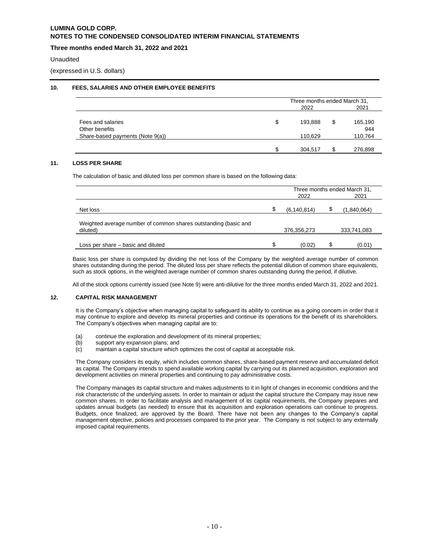# **Three months ended March 31, 2022 and 2021**

#### Unaudited

(expressed in U.S. dollars)

## **10. FEES, SALARIES AND OTHER EMPLOYEE BENEFITS**

|                                  |    | Three months ended March 31, |  |         |  |
|----------------------------------|----|------------------------------|--|---------|--|
|                                  |    | 2022                         |  |         |  |
| Fees and salaries                | \$ | 193.888                      |  | 165,190 |  |
| Other benefits                   |    | -                            |  | 944     |  |
| Share-based payments (Note 9(a)) |    | 110,629                      |  | 110,764 |  |
|                                  |    |                              |  |         |  |
|                                  | ጦ  | 304.517                      |  | 276,898 |  |

## **11. LOSS PER SHARE**

The calculation of basic and diluted loss per common share is based on the following data:

|                                                                             | Three months ended March 31,<br>2022<br>2021 |    |             |  |
|-----------------------------------------------------------------------------|----------------------------------------------|----|-------------|--|
| Net loss                                                                    | \$<br>(6, 140, 814)                          | \$ | (1,840,064) |  |
| Weighted average number of common shares outstanding (basic and<br>diluted) | 376,356,273                                  |    | 333,741,083 |  |
| Loss per share – basic and diluted                                          | \$<br>(0.02)                                 | C  | (0.01)      |  |

Basic loss per share is computed by dividing the net loss of the Company by the weighted average number of common shares outstanding during the period. The diluted loss per share reflects the potential dilution of common share equivalents, such as stock options, in the weighted average number of common shares outstanding during the period, if dilutive.

All of the stock options currently issued (see Note 9) were anti-dilutive for the three months ended March 31, 2022 and 2021.

#### **12. CAPITAL RISK MANAGEMENT**

It is the Company's objective when managing capital to safeguard its ability to continue as a going concern in order that it may continue to explore and develop its mineral properties and continue its operations for the benefit of its shareholders. The Company's objectives when managing capital are to:

- (a) continue the exploration and development of its mineral properties;<br>(b) support any expansion plans; and
- support any expansion plans; and
- (c) maintain a capital structure which optimizes the cost of capital at acceptable risk.

The Company considers its equity, which includes common shares, share-based payment reserve and accumulated deficit as capital. The Company intends to spend available working capital by carrying out its planned acquisition, exploration and development activities on mineral properties and continuing to pay administrative costs.

The Company manages its capital structure and makes adjustments to it in light of changes in economic conditions and the risk characteristic of the underlying assets. In order to maintain or adjust the capital structure the Company may issue new common shares. In order to facilitate analysis and management of its capital requirements, the Company prepares and updates annual budgets (as needed) to ensure that its acquisition and exploration operations can continue to progress. Budgets, once finalized, are approved by the Board. There have not been any changes to the Company's capital management objective, policies and processes compared to the prior year. The Company is not subject to any externally imposed capital requirements.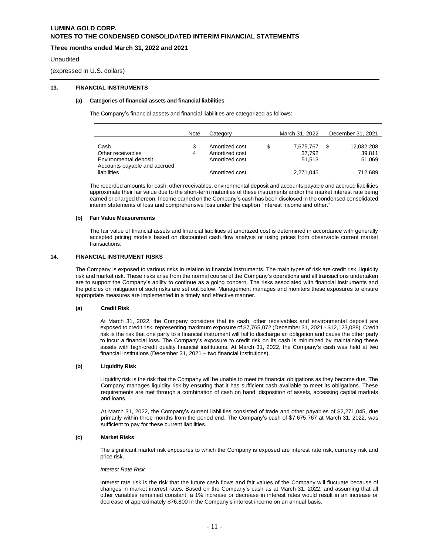## **Three months ended March 31, 2022 and 2021**

#### **Unaudited**

(expressed in U.S. dollars)

# **13. FINANCIAL INSTRUMENTS**

#### **(a) Categories of financial assets and financial liabilities**

The Company's financial assets and financial liabilities are categorized as follows:

|                                                       | Note | Category       | March 31, 2022 | December 31, 2021 |
|-------------------------------------------------------|------|----------------|----------------|-------------------|
| Cash                                                  | 3    | Amortized cost | 7,675,767      | 12,032,208        |
| Other receivables                                     | 4    | Amortized cost | 37,792         | 39,811            |
| Environmental deposit<br>Accounts payable and accrued |      | Amortized cost | 51.513         | 51,069            |
| liabilities                                           |      | Amortized cost | 2,271,045      | 712,689           |

The recorded amounts for cash, other receivables, environmental deposit and accounts payable and accrued liabilities approximate their fair value due to the short-term maturities of these instruments and/or the market interest rate being earned or charged thereon. Income earned on the Company's cash has been disclosed in the condensed consolidated interim statements of loss and comprehensive loss under the caption "interest income and other."

#### **(b) Fair Value Measurements**

The fair value of financial assets and financial liabilities at amortized cost is determined in accordance with generally accepted pricing models based on discounted cash flow analysis or using prices from observable current market transactions.

## **14. FINANCIAL INSTRUMENT RISKS**

The Company is exposed to various risks in relation to financial instruments. The main types of risk are credit risk, liquidity risk and market risk. These risks arise from the normal course of the Company's operations and all transactions undertaken are to support the Company's ability to continue as a going concern. The risks associated with financial instruments and the policies on mitigation of such risks are set out below. Management manages and monitors these exposures to ensure appropriate measures are implemented in a timely and effective manner.

#### **(a) Credit Risk**

At March 31, 2022. the Company considers that its cash, other receivables and environmental deposit are exposed to credit risk, representing maximum exposure of \$7,765,072 (December 31, 2021 - \$12,123,088). Credit risk is the risk that one party to a financial instrument will fail to discharge an obligation and cause the other party to incur a financial loss. The Company's exposure to credit risk on its cash is minimized by maintaining these assets with high-credit quality financial institutions. At March 31, 2022, the Company's cash was held at two financial institutions (December 31, 2021 – two financial institutions).

#### **(b) Liquidity Risk**

Liquidity risk is the risk that the Company will be unable to meet its financial obligations as they become due. The Company manages liquidity risk by ensuring that it has sufficient cash available to meet its obligations. These requirements are met through a combination of cash on hand, disposition of assets, accessing capital markets and loans.

At March 31, 2022, the Company's current liabilities consisted of trade and other payables of \$2,271,045, due primarily within three months from the period end. The Company's cash of \$7,675,767 at March 31, 2022, was sufficient to pay for these current liabilities.

#### **(c) Market Risks**

The significant market risk exposures to which the Company is exposed are interest rate risk, currency risk and price risk.

#### *Interest Rate Risk*

Interest rate risk is the risk that the future cash flows and fair values of the Company will fluctuate because of changes in market interest rates. Based on the Company's cash as at March 31, 2022, and assuming that all other variables remained constant, a 1% increase or decrease in interest rates would result in an increase or decrease of approximately \$76,800 in the Company's interest income on an annual basis.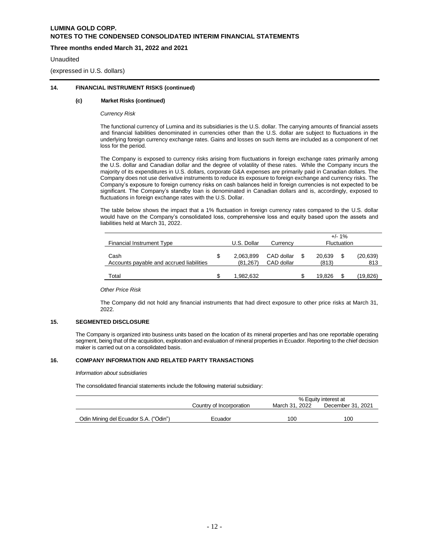# **Three months ended March 31, 2022 and 2021**

#### Unaudited

(expressed in U.S. dollars)

## **14. FINANCIAL INSTRUMENT RISKS (continued)**

#### **(c) Market Risks (continued)**

*Currency Risk*

The functional currency of Lumina and its subsidiaries is the U.S. dollar. The carrying amounts of financial assets and financial liabilities denominated in currencies other than the U.S. dollar are subject to fluctuations in the underlying foreign currency exchange rates. Gains and losses on such items are included as a component of net loss for the period.

The Company is exposed to currency risks arising from fluctuations in foreign exchange rates primarily among the U.S. dollar and Canadian dollar and the degree of volatility of these rates. While the Company incurs the majority of its expenditures in U.S. dollars, corporate G&A expenses are primarily paid in Canadian dollars. The Company does not use derivative instruments to reduce its exposure to foreign exchange and currency risks. The Company's exposure to foreign currency risks on cash balances held in foreign currencies is not expected to be significant. The Company's standby loan is denominated in Canadian dollars and is, accordingly, exposed to fluctuations in foreign exchange rates with the U.S. Dollar.

The table below shows the impact that a 1% fluctuation in foreign currency rates compared to the U.S. dollar would have on the Company's consolidated loss, comprehensive loss and equity based upon the assets and liabilities held at March 31, 2022.

| Financial Instrument Type                        |   | U.S. Dollar           | Currency                 | $+/- 1\%$<br>Fluctuation |    |                  |
|--------------------------------------------------|---|-----------------------|--------------------------|--------------------------|----|------------------|
| Cash<br>Accounts payable and accrued liabilities | S | 2,063,899<br>(81.267) | CAD dollar<br>CAD dollar | 20,639<br>(813)          | S  | (20, 639)<br>813 |
| Total                                            |   | 1.982.632             |                          | 19.826                   | \$ | (19,826)         |

*Other Price Risk*

The Company did not hold any financial instruments that had direct exposure to other price risks at March 31, 2022.

## **15. SEGMENTED DISCLOSURE**

The Company is organized into business units based on the location of its mineral properties and has one reportable operating segment, being that of the acquisition, exploration and evaluation of mineral properties in Ecuador. Reporting to the chief decision maker is carried out on a consolidated basis.

#### **16. COMPANY INFORMATION AND RELATED PARTY TRANSACTIONS**

*Information about subsidiaries*

The consolidated financial statements include the following material subsidiary:

|                                       |                          | % Equity interest at |                   |  |  |
|---------------------------------------|--------------------------|----------------------|-------------------|--|--|
|                                       | Country of Incorporation | March 31, 2022       | December 31, 2021 |  |  |
|                                       |                          |                      |                   |  |  |
| Odin Mining del Ecuador S.A. ("Odin") | Ecuador                  | 100                  | 100               |  |  |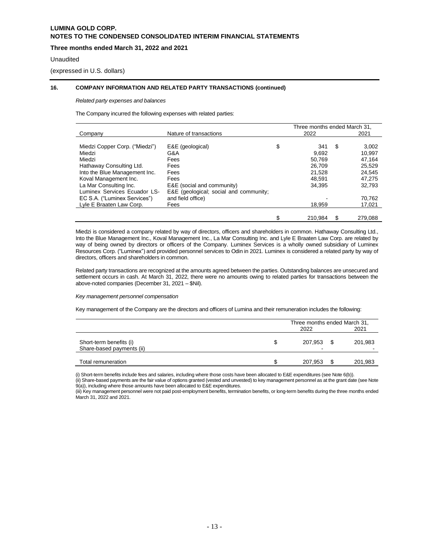# **Three months ended March 31, 2022 and 2021**

#### Unaudited

(expressed in U.S. dollars)

#### **16. COMPANY INFORMATION AND RELATED PARTY TRANSACTIONS (continued)**

#### *Related party expenses and balances*

The Company incurred the following expenses with related parties:

|                                |                                        | Three months ended March 31, |    |         |
|--------------------------------|----------------------------------------|------------------------------|----|---------|
| Company                        | Nature of transactions                 | 2022                         |    | 2021    |
|                                |                                        |                              |    |         |
| Miedzi Copper Corp. ("Miedzi") | E&E (geological)                       | \$<br>341                    | \$ | 3.002   |
| Miedzi                         | G&A                                    | 9,692                        |    | 10,997  |
| Miedzi                         | Fees                                   | 50.769                       |    | 47.164  |
| Hathaway Consulting Ltd.       | Fees                                   | 26,709                       |    | 25,529  |
| Into the Blue Management Inc.  | Fees                                   | 21.528                       |    | 24.545  |
| Koval Management Inc.          | Fees                                   | 48.591                       |    | 47,275  |
| La Mar Consulting Inc.         | E&E (social and community)             | 34.395                       |    | 32,793  |
| Luminex Services Ecuador LS-   | E&E (geological; social and community; |                              |    |         |
| EC S.A. ("Luminex Services")   | and field office)                      |                              |    | 70.762  |
| Lyle E Braaten Law Corp.       | Fees                                   | 18,959                       |    | 17,021  |
|                                |                                        |                              |    |         |
|                                |                                        | \$<br>210,984                | S  | 279.088 |

Miedzi is considered a company related by way of directors, officers and shareholders in common. Hathaway Consulting Ltd., Into the Blue Management Inc., Koval Management Inc., La Mar Consulting Inc. and Lyle E Braaten Law Corp. are related by way of being owned by directors or officers of the Company. Luminex Services is a wholly owned subsidiary of Luminex Resources Corp. ("Luminex") and provided personnel services to Odin in 2021. Luminex is considered a related party by way of directors, officers and shareholders in common.

Related party transactions are recognized at the amounts agreed between the parties. Outstanding balances are unsecured and settlement occurs in cash. At March 31, 2022, there were no amounts owing to related parties for transactions between the above-noted companies (December 31, 2021 – \$Nil).

#### *Key management personnel compensation*

Key management of the Company are the directors and officers of Lumina and their remuneration includes the following:

|                                                      |   | Three months ended March 31, |  |              |  |
|------------------------------------------------------|---|------------------------------|--|--------------|--|
|                                                      |   | 2022                         |  | 2021         |  |
| Short-term benefits (i)<br>Share-based payments (ii) | S | 207.953 \$<br>-              |  | 201,983<br>- |  |
| Total remuneration                                   |   | 207.953                      |  | 201,983      |  |

(i) Short-term benefits include fees and salaries, including where those costs have been allocated to E&E expenditures (see Note 6(b)).

(ii) Share-based payments are the fair value of options granted (vested and unvested) to key management personnel as at the grant date (see Note 9(a)), including where those amounts have been allocated to E&E expenditures.

(iii) Key management personnel were not paid post-employment benefits, termination benefits, or long-term benefits during the three months ended March 31, 2022 and 2021.